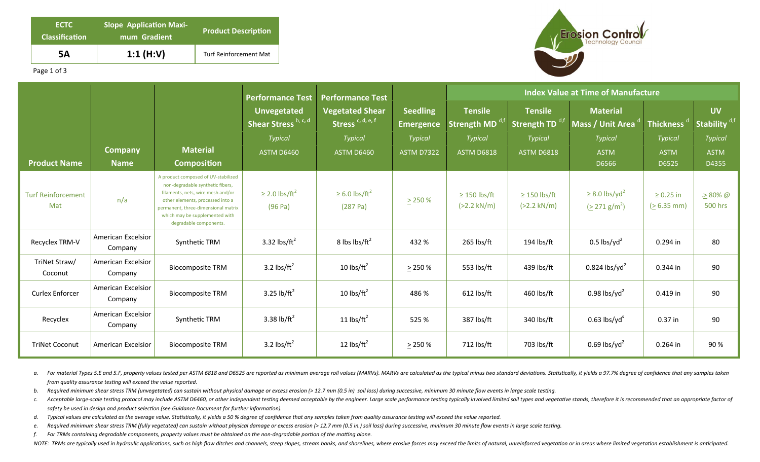| <b>ECTC</b><br><b>Classification</b> | <b>Slope Application Maxi-</b><br>mum Gradient | <b>Product Description</b>    |  |  |  |  |
|--------------------------------------|------------------------------------------------|-------------------------------|--|--|--|--|
| 5Α                                   | 1:1 $(H:V)$                                    | <b>Turf Reinforcement Mat</b> |  |  |  |  |



Page 1 of 3

|                                  |                                      |                                                                                                                                                                                                                                                     | <b>Performance Test</b>                    | <b>Performance Test</b>                                |                                     | <b>Index Value at Time of Manufacture</b>  |                                     |                                                          |                                 |                                       |
|----------------------------------|--------------------------------------|-----------------------------------------------------------------------------------------------------------------------------------------------------------------------------------------------------------------------------------------------------|--------------------------------------------|--------------------------------------------------------|-------------------------------------|--------------------------------------------|-------------------------------------|----------------------------------------------------------|---------------------------------|---------------------------------------|
|                                  |                                      |                                                                                                                                                                                                                                                     | <b>Unvegetated</b><br>Shear Stress b, c, d | <b>Vegetated Shear</b><br>Stress <sup>c, d, e, f</sup> | <b>Seedling</b><br><b>Emergence</b> | <b>Tensile</b><br>Strength MD <sup>c</sup> | <b>Tensile</b><br>Strength TD $a,t$ | <b>Material</b><br>Mass / Unit Area <sup>d</sup>         | Thickness <sup>d</sup>          | <b>UV</b><br>Stability <sup>d,f</sup> |
|                                  |                                      |                                                                                                                                                                                                                                                     | <b>Typical</b>                             | <b>Typical</b>                                         | <b>Typical</b>                      | <b>Typical</b>                             | <b>Typical</b>                      | <b>Typical</b>                                           | <b>Typical</b>                  | <b>Typical</b>                        |
|                                  | <b>Company</b>                       | <b>Material</b>                                                                                                                                                                                                                                     | <b>ASTM D6460</b>                          | <b>ASTM D6460</b>                                      | <b>ASTM D7322</b>                   | <b>ASTM D6818</b>                          | <b>ASTM D6818</b>                   | <b>ASTM</b>                                              | <b>ASTM</b>                     | <b>ASTM</b>                           |
| <b>Product Name</b>              | <b>Name</b>                          | <b>Composition</b>                                                                                                                                                                                                                                  |                                            |                                                        |                                     |                                            |                                     | D6566                                                    | D6525                           | D4355                                 |
| <b>Turf Reinforcement</b><br>Mat | n/a                                  | A product composed of UV-stabilized<br>non-degradable synthetic fibers,<br>filaments, nets, wire mesh and/or<br>other elements, processed into a<br>permanent, three-dimensional matrix<br>which may be supplemented with<br>degradable components. | $\geq$ 2.0 lbs/ft <sup>2</sup><br>(96 Pa)  | $\geq 6.0$ lbs/ft <sup>2</sup><br>(287 Pa)             | $\geq$ 250 %                        | $\geq$ 150 lbs/ft<br>$(>2.2 \text{ kN/m})$ | $\geq$ 150 lbs/ft<br>$(>2.2$ kN/m)  | $\geq$ 8.0 lbs/yd <sup>2</sup><br>$(2271 \text{ g/m}^2)$ | $\geq 0.25$ in<br>$(> 6.35$ mm) | . <u>&gt;</u> 80% @<br>500 hrs        |
| Recyclex TRM-V                   | <b>American Excelsior</b><br>Company | Synthetic TRM                                                                                                                                                                                                                                       | 3.32 lbs/ $ft^2$                           | 8 lbs $\frac{\text{b}}{\text{ft}^2}$                   | 432 %                               | 265 lbs/ft                                 | 194 lbs/ft                          | $0.5$ lbs/yd <sup>2</sup>                                | 0.294 in                        | 80                                    |
| TriNet Straw/<br>Coconut         | <b>American Excelsior</b><br>Company | <b>Biocomposite TRM</b>                                                                                                                                                                                                                             | 3.2 $\text{lbs/ft}^2$                      | 10 $\frac{1}{\text{b}}$                                | $\geq$ 250 %                        | 553 lbs/ft                                 | 439 lbs/ft                          | $0.824$ lbs/yd <sup>2</sup>                              | 0.344 in                        | 90                                    |
| <b>Curlex Enforcer</b>           | American Excelsior<br>Company        | <b>Biocomposite TRM</b>                                                                                                                                                                                                                             | 3.25 lb/ $ft^2$                            | 10 $\text{lbs/ft}^2$                                   | 486 %                               | $612$ lbs/ft                               | 460 lbs/ft                          | 0.98 lbs/yd <sup>2</sup>                                 | 0.419 in                        | 90                                    |
| Recyclex                         | <b>American Excelsior</b><br>Company | Synthetic TRM                                                                                                                                                                                                                                       | 3.38 lb/ $ft^2$                            | 11 $\text{lbs/ft}^2$                                   | 525 %                               | 387 lbs/ft                                 | 340 lbs/ft                          | $0.63$ lbs/yd <sup>s</sup>                               | $0.37$ in                       | 90                                    |
| <b>TriNet Coconut</b>            | American Excelsior                   | <b>Biocomposite TRM</b>                                                                                                                                                                                                                             | 3.2 lbs/ $ft^2$                            | 12 $\text{lbs/ft}^2$                                   | $\geq$ 250 %                        | 712 lbs/ft                                 | 703 lbs/ft                          | 0.69 lbs/yd <sup>2</sup>                                 | 0.264 in                        | 90%                                   |

a. For material Types 5.E and 5.F, property values tested per ASTM 6818 and D6525 are reported as minimum average roll values (MARVs). MARVs are calculated as the typical minus two standard deviations. Statistically, it yi *from quality assurance testing will exceed the value reported.* 

b. Required minimum shear stress TRM (unvegetated) can sustain without physical damage or excess erosion (> 12.7 mm (0.5 in) soil loss) during successive, minimum 30 minute flow events in large scale testing.

- c. Acceptable large-scale testing protocol may include ASTM D6460, or other independent testing deemed acceptable by the engineer. Large scale performance testing typically involved limited soil types and vegetative stands safety be used in design and product selection (see Guidance Document for further information).
- d. Typical values are calculated as the average value. Statistically, it yields a 50 % degree of confidence that any samples taken from quality assurance testing will exceed the value reported.
- e. Required minimum shear stress TRM (fully vegetated) can sustain without physical damage or excess erosion (> 12.7 mm (0.5 in.) soil loss) during successive, minimum 30 minute flow events in large scale testing.
- *f.* For TRMs containing degradable components, property values must be obtained on the non-degradable portion of the matting alone.

NOTE: TRMs are typically used in hydraulic applications, such as high flow ditches and channels, steep slopes, stream banks, and shorelines, where erosive forces may exceed the limits of natural, unreinforced vegetation or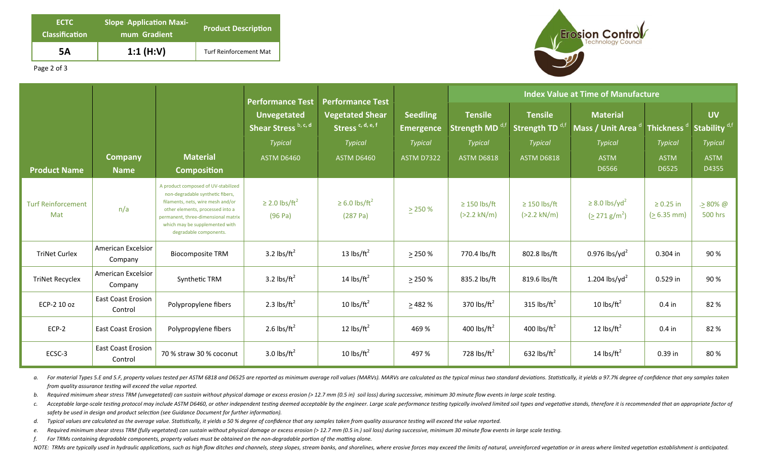| <b>ECTC</b><br><b>Classification</b> | <b>Slope Application Maxi-</b><br>mum Gradient | <b>Product Description</b>    |  |  |  |  |
|--------------------------------------|------------------------------------------------|-------------------------------|--|--|--|--|
| 5Α                                   | 1:1 $(H:V)$                                    | <b>Turf Reinforcement Mat</b> |  |  |  |  |



Page 2 of 3

|                                  |                                      |                                                                                                                                                                                                                                                     | <b>Performance Test</b>                   | <b>Performance Test</b>                                |                                     | <b>Index Value at Time of Manufacture</b>     |                                                      |                                                  |                                 |                                       |
|----------------------------------|--------------------------------------|-----------------------------------------------------------------------------------------------------------------------------------------------------------------------------------------------------------------------------------------------------|-------------------------------------------|--------------------------------------------------------|-------------------------------------|-----------------------------------------------|------------------------------------------------------|--------------------------------------------------|---------------------------------|---------------------------------------|
|                                  |                                      |                                                                                                                                                                                                                                                     | Unvegetated<br>Shear Stress b, c, d       | <b>Vegetated Shear</b><br>Stress <sup>c, d, e, f</sup> | <b>Seedling</b><br><b>Emergence</b> | <b>Tensile</b><br>Strength MD <sup>d,fl</sup> | <b>Tensile</b><br>Strength TD $^{\text{d},\text{f}}$ | <b>Material</b><br>Mass / Unit Area              | <b>Thickness</b>                | <b>UV</b><br>Stability <sup>d,f</sup> |
|                                  |                                      |                                                                                                                                                                                                                                                     | <b>Typical</b>                            | <b>Typical</b>                                         | <b>Typical</b>                      | <b>Typical</b>                                | <b>Typical</b>                                       | <b>Typical</b>                                   | Typical                         | <b>Typical</b>                        |
|                                  | <b>Company</b>                       | <b>Material</b>                                                                                                                                                                                                                                     | <b>ASTM D6460</b>                         | <b>ASTM D6460</b>                                      | <b>ASTM D7322</b>                   | <b>ASTM D6818</b>                             | <b>ASTM D6818</b>                                    | <b>ASTM</b>                                      | <b>ASTM</b>                     | <b>ASTM</b>                           |
| <b>Product Name</b>              | <b>Name</b>                          | <b>Composition</b>                                                                                                                                                                                                                                  |                                           |                                                        |                                     |                                               |                                                      | D6566                                            | D6525                           | D4355                                 |
| <b>Turf Reinforcement</b><br>Mat | n/a                                  | A product composed of UV-stabilized<br>non-degradable synthetic fibers,<br>filaments, nets, wire mesh and/or<br>other elements, processed into a<br>permanent, three-dimensional matrix<br>which may be supplemented with<br>degradable components. | $\geq$ 2.0 lbs/ft <sup>2</sup><br>(96 Pa) | $\geq 6.0$ lbs/ft <sup>2</sup><br>(287 Pa)             | > 250%                              | $\geq$ 150 lbs/ft<br>$(>2.2 \text{ kN/m})$    | $\geq$ 150 lbs/ft<br>$(>2.2 \text{ kN/m})$           | $\geq$ 8.0 lbs/yd <sup>2</sup><br>$(2271 g/m^2)$ | $\geq 0.25$ in<br>$(> 6.35$ mm) | $. > 80\%$ @<br>500 hrs               |
| <b>TriNet Curlex</b>             | <b>American Excelsior</b><br>Company | <b>Biocomposite TRM</b>                                                                                                                                                                                                                             | 3.2 lbs/ $ft^2$                           | 13 lbs/ $ft^2$                                         | > 250%                              | 770.4 lbs/ft                                  | 802.8 lbs/ft                                         | $0.976$ lbs/yd <sup>2</sup>                      | 0.304 in                        | 90%                                   |
| <b>TriNet Recyclex</b>           | American Excelsior<br>Company        | Synthetic TRM                                                                                                                                                                                                                                       | 3.2 $\text{lbs/ft}^2$                     | 14 lbs/ $ft^2$                                         | $\geq$ 250 %                        | 835.2 lbs/ft                                  | 819.6 lbs/ft                                         | 1.204 lbs/yd <sup>2</sup>                        | 0.529 in                        | 90%                                   |
| ECP-2 10 oz                      | <b>East Coast Erosion</b><br>Control | Polypropylene fibers                                                                                                                                                                                                                                | 2.3 lbs/ $ft^2$                           | 10 lbs/ $ft^2$                                         | >482%                               | 370 lbs/ $ft2$                                | 315 lbs/ $ft^2$                                      | 10 lbs/ $ft^2$                                   | $0.4$ in                        | 82 %                                  |
| $ECP-2$                          | <b>East Coast Erosion</b>            | Polypropylene fibers                                                                                                                                                                                                                                | 2.6 lbs/ $ft^2$                           | 12 $\text{lbs/ft}^2$                                   | 469 %                               | 400 lbs/ $ft^2$                               | 400 lbs/ $ft^2$                                      | 12 $\text{lbs/ft}^2$                             | $0.4$ in                        | 82 %                                  |
| ECSC-3                           | <b>East Coast Erosion</b><br>Control | 70 % straw 30 % coconut                                                                                                                                                                                                                             | 3.0 lbs/ $ft^2$                           | 10 lbs/ $ft^2$                                         | 497 %                               | 728 lbs/ $ft^2$                               | 632 lbs/ $ft^2$                                      | 14 $\text{lbs/ft}^2$                             | 0.39 in                         | 80%                                   |

a. For material Types 5.E and 5.F, property values tested per ASTM 6818 and D6525 are reported as minimum average roll values (MARVs). MARVs are calculated as the typical minus two standard deviations. Statistically, it yi *from quality assurance testing will exceed the value reported.* 

b. Required minimum shear stress TRM (unvegetated) can sustain without physical damage or excess erosion (> 12.7 mm (0.5 in) soil loss) during successive, minimum 30 minute flow events in large scale testing.

c. Acceptable large-scale testing protocol may include ASTM D6460, or other independent testing deemed acceptable by the engineer. Large scale performance testing typically involved limited soil types and vegetative stands safety be used in design and product selection (see Guidance Document for further information).

d. Typical values are calculated as the average value. Statistically, it yields a 50 % degree of confidence that any samples taken from quality assurance testing will exceed the value reported.

e. Required minimum shear stress TRM (fully vegetated) can sustain without physical damage or excess erosion (> 12.7 mm (0.5 in.) soil loss) during successive, minimum 30 minute flow events in large scale testing.

*f.* For TRMs containing degradable components, property values must be obtained on the non-degradable portion of the matting alone.

NOTE: TRMs are typically used in hydraulic applications, such as high flow ditches and channels, steep slopes, stream banks, and shorelines, where erosive forces may exceed the limits of natural, unreinforced vegetation or